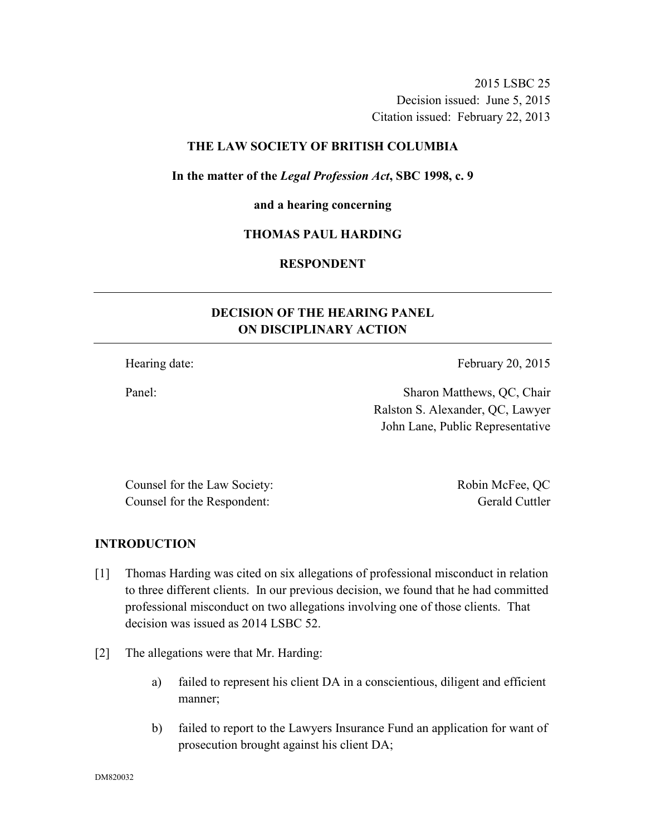2015 LSBC 25 Decision issued: June 5, 2015 Citation issued: February 22, 2013

### **THE LAW SOCIETY OF BRITISH COLUMBIA**

#### **In the matter of the** *Legal Profession Act***, SBC 1998, c. 9**

#### **and a hearing concerning**

### **THOMAS PAUL HARDING**

# **RESPONDENT**

# **DECISION OF THE HEARING PANEL ON DISCIPLINARY ACTION**

Hearing date: February 20, 2015

Panel: Sharon Matthews, QC, Chair Ralston S. Alexander, QC, Lawyer John Lane, Public Representative

Counsel for the Law Society: Robin McFee, QC Counsel for the Respondent: Gerald Cuttler

#### **INTRODUCTION**

- [1] Thomas Harding was cited on six allegations of professional misconduct in relation to three different clients. In our previous decision, we found that he had committed professional misconduct on two allegations involving one of those clients. That decision was issued as 2014 LSBC 52.
- [2] The allegations were that Mr. Harding:
	- a) failed to represent his client DA in a conscientious, diligent and efficient manner;
	- b) failed to report to the Lawyers Insurance Fund an application for want of prosecution brought against his client DA;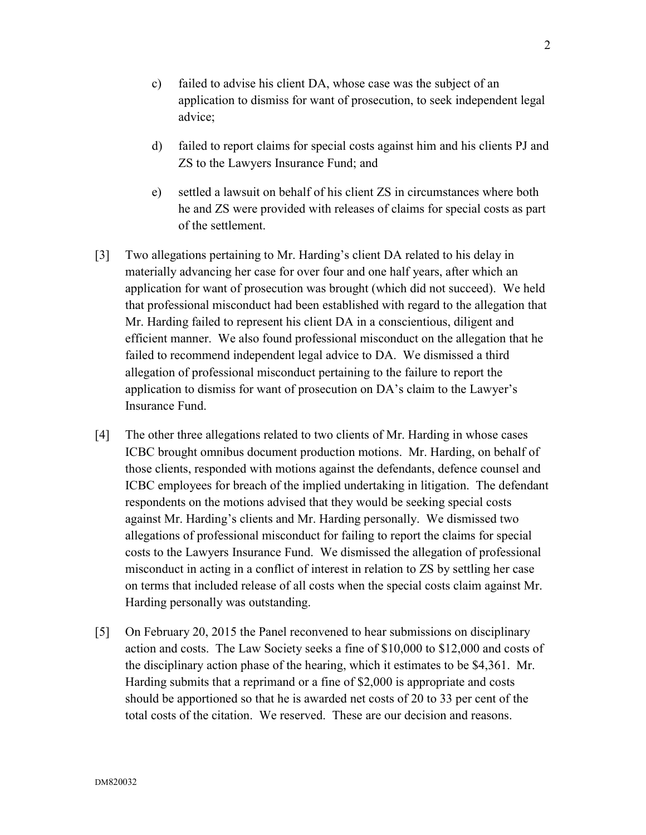- c) failed to advise his client DA, whose case was the subject of an application to dismiss for want of prosecution, to seek independent legal advice;
- d) failed to report claims for special costs against him and his clients PJ and ZS to the Lawyers Insurance Fund; and
- e) settled a lawsuit on behalf of his client ZS in circumstances where both he and ZS were provided with releases of claims for special costs as part of the settlement.
- [3] Two allegations pertaining to Mr. Harding's client DA related to his delay in materially advancing her case for over four and one half years, after which an application for want of prosecution was brought (which did not succeed). We held that professional misconduct had been established with regard to the allegation that Mr. Harding failed to represent his client DA in a conscientious, diligent and efficient manner. We also found professional misconduct on the allegation that he failed to recommend independent legal advice to DA. We dismissed a third allegation of professional misconduct pertaining to the failure to report the application to dismiss for want of prosecution on DA's claim to the Lawyer's Insurance Fund.
- [4] The other three allegations related to two clients of Mr. Harding in whose cases ICBC brought omnibus document production motions. Mr. Harding, on behalf of those clients, responded with motions against the defendants, defence counsel and ICBC employees for breach of the implied undertaking in litigation. The defendant respondents on the motions advised that they would be seeking special costs against Mr. Harding's clients and Mr. Harding personally. We dismissed two allegations of professional misconduct for failing to report the claims for special costs to the Lawyers Insurance Fund. We dismissed the allegation of professional misconduct in acting in a conflict of interest in relation to ZS by settling her case on terms that included release of all costs when the special costs claim against Mr. Harding personally was outstanding.
- [5] On February 20, 2015 the Panel reconvened to hear submissions on disciplinary action and costs. The Law Society seeks a fine of \$10,000 to \$12,000 and costs of the disciplinary action phase of the hearing, which it estimates to be \$4,361. Mr. Harding submits that a reprimand or a fine of \$2,000 is appropriate and costs should be apportioned so that he is awarded net costs of 20 to 33 per cent of the total costs of the citation. We reserved. These are our decision and reasons.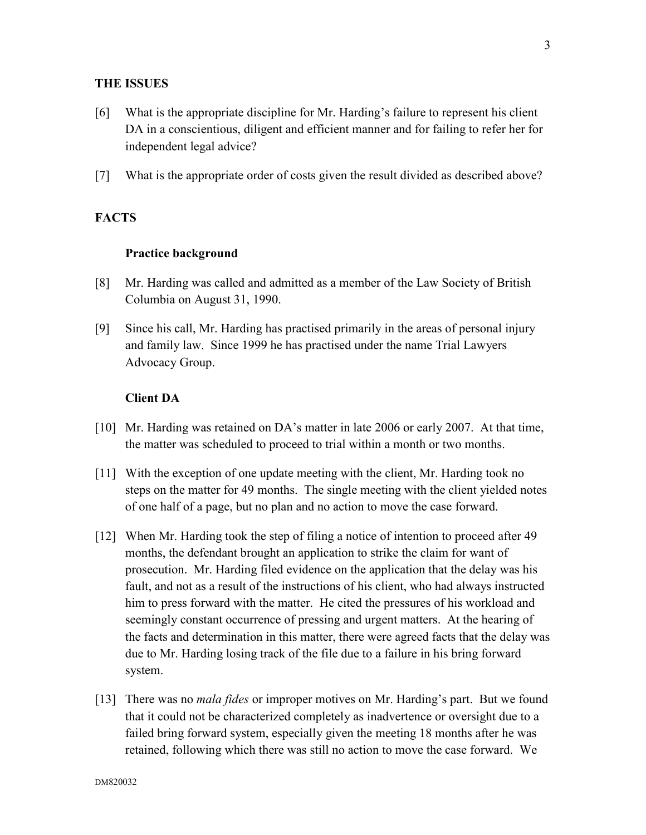#### **THE ISSUES**

- [6] What is the appropriate discipline for Mr. Harding's failure to represent his client DA in a conscientious, diligent and efficient manner and for failing to refer her for independent legal advice?
- [7] What is the appropriate order of costs given the result divided as described above?

### **FACTS**

#### **Practice background**

- [8] Mr. Harding was called and admitted as a member of the Law Society of British Columbia on August 31, 1990.
- [9] Since his call, Mr. Harding has practised primarily in the areas of personal injury and family law. Since 1999 he has practised under the name Trial Lawyers Advocacy Group.

#### **Client DA**

- [10] Mr. Harding was retained on DA's matter in late 2006 or early 2007. At that time, the matter was scheduled to proceed to trial within a month or two months.
- [11] With the exception of one update meeting with the client, Mr. Harding took no steps on the matter for 49 months. The single meeting with the client yielded notes of one half of a page, but no plan and no action to move the case forward.
- [12] When Mr. Harding took the step of filing a notice of intention to proceed after 49 months, the defendant brought an application to strike the claim for want of prosecution. Mr. Harding filed evidence on the application that the delay was his fault, and not as a result of the instructions of his client, who had always instructed him to press forward with the matter. He cited the pressures of his workload and seemingly constant occurrence of pressing and urgent matters. At the hearing of the facts and determination in this matter, there were agreed facts that the delay was due to Mr. Harding losing track of the file due to a failure in his bring forward system.
- [13] There was no *mala fides* or improper motives on Mr. Harding's part. But we found that it could not be characterized completely as inadvertence or oversight due to a failed bring forward system, especially given the meeting 18 months after he was retained, following which there was still no action to move the case forward. We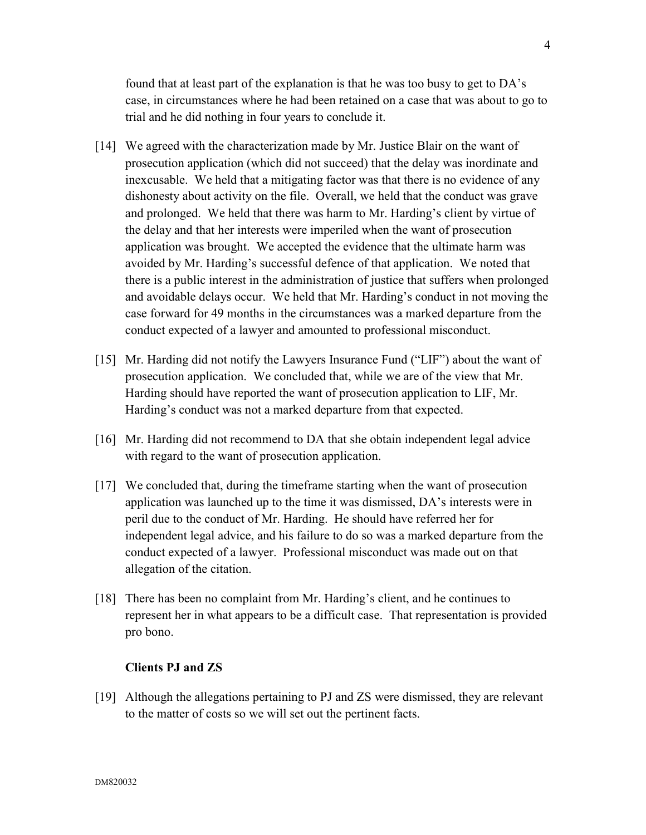found that at least part of the explanation is that he was too busy to get to DA's case, in circumstances where he had been retained on a case that was about to go to trial and he did nothing in four years to conclude it.

- [14] We agreed with the characterization made by Mr. Justice Blair on the want of prosecution application (which did not succeed) that the delay was inordinate and inexcusable. We held that a mitigating factor was that there is no evidence of any dishonesty about activity on the file. Overall, we held that the conduct was grave and prolonged. We held that there was harm to Mr. Harding's client by virtue of the delay and that her interests were imperiled when the want of prosecution application was brought. We accepted the evidence that the ultimate harm was avoided by Mr. Harding's successful defence of that application. We noted that there is a public interest in the administration of justice that suffers when prolonged and avoidable delays occur. We held that Mr. Harding's conduct in not moving the case forward for 49 months in the circumstances was a marked departure from the conduct expected of a lawyer and amounted to professional misconduct.
- [15] Mr. Harding did not notify the Lawyers Insurance Fund ("LIF") about the want of prosecution application. We concluded that, while we are of the view that Mr. Harding should have reported the want of prosecution application to LIF, Mr. Harding's conduct was not a marked departure from that expected.
- [16] Mr. Harding did not recommend to DA that she obtain independent legal advice with regard to the want of prosecution application.
- [17] We concluded that, during the timeframe starting when the want of prosecution application was launched up to the time it was dismissed, DA's interests were in peril due to the conduct of Mr. Harding. He should have referred her for independent legal advice, and his failure to do so was a marked departure from the conduct expected of a lawyer. Professional misconduct was made out on that allegation of the citation.
- [18] There has been no complaint from Mr. Harding's client, and he continues to represent her in what appears to be a difficult case. That representation is provided pro bono.

#### **Clients PJ and ZS**

[19] Although the allegations pertaining to PJ and ZS were dismissed, they are relevant to the matter of costs so we will set out the pertinent facts.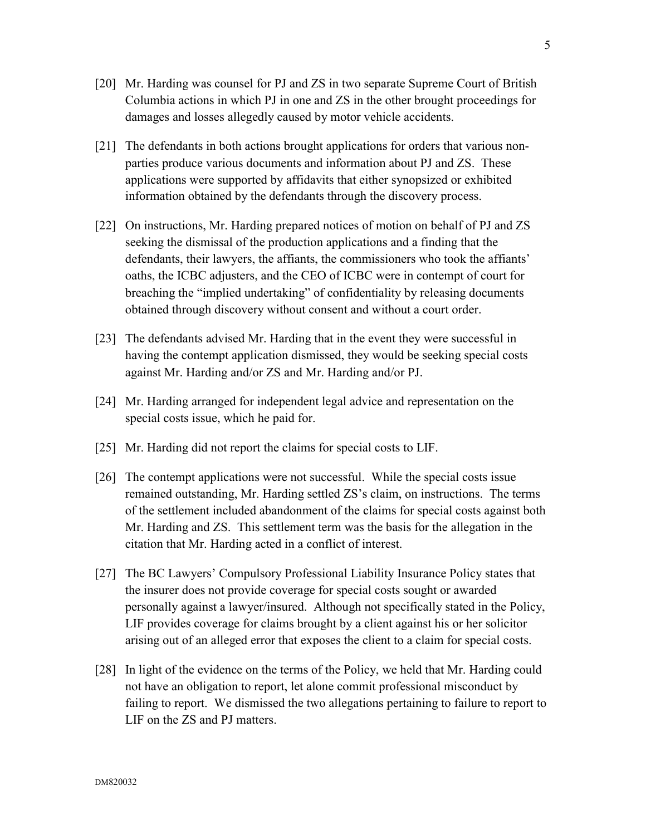- [20] Mr. Harding was counsel for PJ and ZS in two separate Supreme Court of British Columbia actions in which PJ in one and ZS in the other brought proceedings for damages and losses allegedly caused by motor vehicle accidents.
- [21] The defendants in both actions brought applications for orders that various nonparties produce various documents and information about PJ and ZS. These applications were supported by affidavits that either synopsized or exhibited information obtained by the defendants through the discovery process.
- [22] On instructions, Mr. Harding prepared notices of motion on behalf of PJ and ZS seeking the dismissal of the production applications and a finding that the defendants, their lawyers, the affiants, the commissioners who took the affiants' oaths, the ICBC adjusters, and the CEO of ICBC were in contempt of court for breaching the "implied undertaking" of confidentiality by releasing documents obtained through discovery without consent and without a court order.
- [23] The defendants advised Mr. Harding that in the event they were successful in having the contempt application dismissed, they would be seeking special costs against Mr. Harding and/or ZS and Mr. Harding and/or PJ.
- [24] Mr. Harding arranged for independent legal advice and representation on the special costs issue, which he paid for.
- [25] Mr. Harding did not report the claims for special costs to LIF.
- [26] The contempt applications were not successful. While the special costs issue remained outstanding, Mr. Harding settled ZS's claim, on instructions. The terms of the settlement included abandonment of the claims for special costs against both Mr. Harding and ZS. This settlement term was the basis for the allegation in the citation that Mr. Harding acted in a conflict of interest.
- [27] The BC Lawyers' Compulsory Professional Liability Insurance Policy states that the insurer does not provide coverage for special costs sought or awarded personally against a lawyer/insured. Although not specifically stated in the Policy, LIF provides coverage for claims brought by a client against his or her solicitor arising out of an alleged error that exposes the client to a claim for special costs.
- [28] In light of the evidence on the terms of the Policy, we held that Mr. Harding could not have an obligation to report, let alone commit professional misconduct by failing to report. We dismissed the two allegations pertaining to failure to report to LIF on the ZS and PJ matters.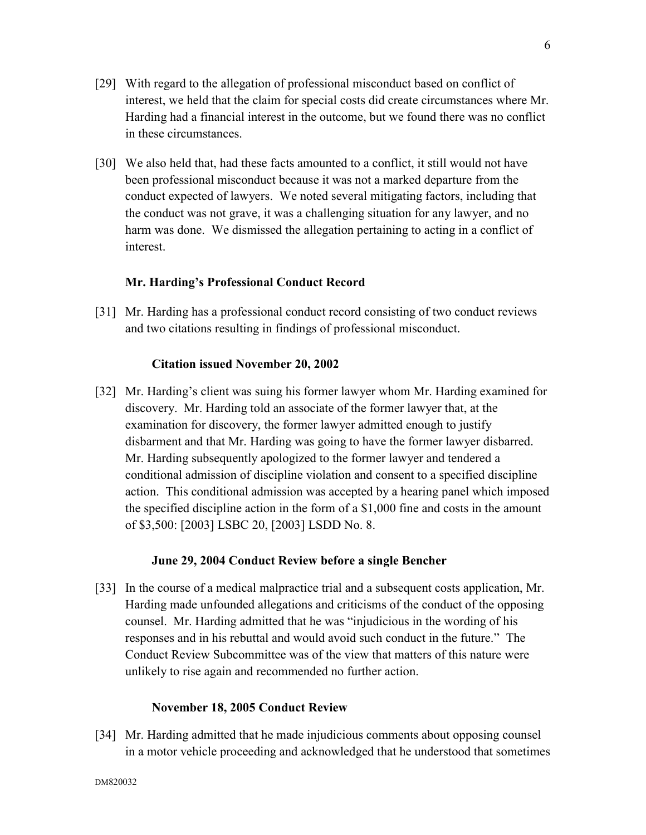- [29] With regard to the allegation of professional misconduct based on conflict of interest, we held that the claim for special costs did create circumstances where Mr. Harding had a financial interest in the outcome, but we found there was no conflict in these circumstances.
- [30] We also held that, had these facts amounted to a conflict, it still would not have been professional misconduct because it was not a marked departure from the conduct expected of lawyers. We noted several mitigating factors, including that the conduct was not grave, it was a challenging situation for any lawyer, and no harm was done. We dismissed the allegation pertaining to acting in a conflict of interest.

### **Mr. Harding's Professional Conduct Record**

[31] Mr. Harding has a professional conduct record consisting of two conduct reviews and two citations resulting in findings of professional misconduct.

### **Citation issued November 20, 2002**

[32] Mr. Harding's client was suing his former lawyer whom Mr. Harding examined for discovery. Mr. Harding told an associate of the former lawyer that, at the examination for discovery, the former lawyer admitted enough to justify disbarment and that Mr. Harding was going to have the former lawyer disbarred. Mr. Harding subsequently apologized to the former lawyer and tendered a conditional admission of discipline violation and consent to a specified discipline action. This conditional admission was accepted by a hearing panel which imposed the specified discipline action in the form of a \$1,000 fine and costs in the amount of \$3,500: [2003] LSBC 20, [2003] LSDD No. 8.

### **June 29, 2004 Conduct Review before a single Bencher**

[33] In the course of a medical malpractice trial and a subsequent costs application, Mr. Harding made unfounded allegations and criticisms of the conduct of the opposing counsel. Mr. Harding admitted that he was "injudicious in the wording of his responses and in his rebuttal and would avoid such conduct in the future." The Conduct Review Subcommittee was of the view that matters of this nature were unlikely to rise again and recommended no further action.

#### **November 18, 2005 Conduct Review**

[34] Mr. Harding admitted that he made injudicious comments about opposing counsel in a motor vehicle proceeding and acknowledged that he understood that sometimes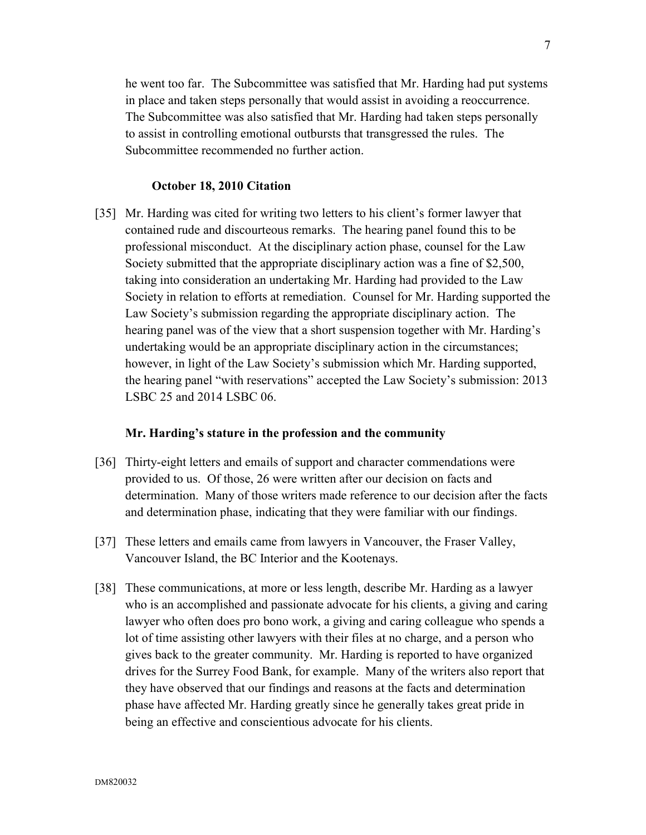he went too far. The Subcommittee was satisfied that Mr. Harding had put systems in place and taken steps personally that would assist in avoiding a reoccurrence. The Subcommittee was also satisfied that Mr. Harding had taken steps personally to assist in controlling emotional outbursts that transgressed the rules. The Subcommittee recommended no further action.

#### **October 18, 2010 Citation**

[35] Mr. Harding was cited for writing two letters to his client's former lawyer that contained rude and discourteous remarks. The hearing panel found this to be professional misconduct. At the disciplinary action phase, counsel for the Law Society submitted that the appropriate disciplinary action was a fine of \$2,500, taking into consideration an undertaking Mr. Harding had provided to the Law Society in relation to efforts at remediation. Counsel for Mr. Harding supported the Law Society's submission regarding the appropriate disciplinary action. The hearing panel was of the view that a short suspension together with Mr. Harding's undertaking would be an appropriate disciplinary action in the circumstances; however, in light of the Law Society's submission which Mr. Harding supported, the hearing panel "with reservations" accepted the Law Society's submission: 2013 LSBC 25 and 2014 LSBC 06.

#### **Mr. Harding's stature in the profession and the community**

- [36] Thirty-eight letters and emails of support and character commendations were provided to us. Of those, 26 were written after our decision on facts and determination. Many of those writers made reference to our decision after the facts and determination phase, indicating that they were familiar with our findings.
- [37] These letters and emails came from lawyers in Vancouver, the Fraser Valley, Vancouver Island, the BC Interior and the Kootenays.
- [38] These communications, at more or less length, describe Mr. Harding as a lawyer who is an accomplished and passionate advocate for his clients, a giving and caring lawyer who often does pro bono work, a giving and caring colleague who spends a lot of time assisting other lawyers with their files at no charge, and a person who gives back to the greater community. Mr. Harding is reported to have organized drives for the Surrey Food Bank, for example. Many of the writers also report that they have observed that our findings and reasons at the facts and determination phase have affected Mr. Harding greatly since he generally takes great pride in being an effective and conscientious advocate for his clients.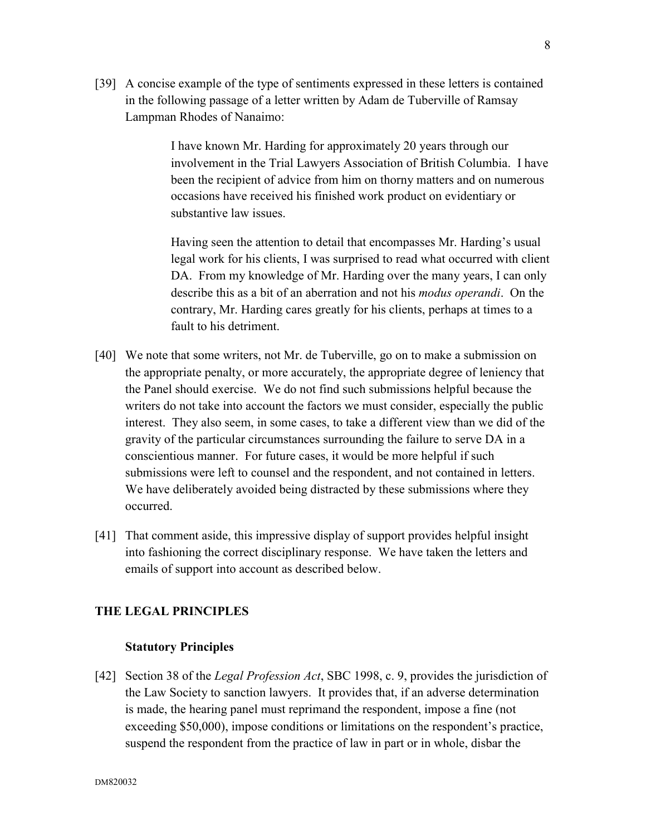[39] A concise example of the type of sentiments expressed in these letters is contained in the following passage of a letter written by Adam de Tuberville of Ramsay Lampman Rhodes of Nanaimo:

> I have known Mr. Harding for approximately 20 years through our involvement in the Trial Lawyers Association of British Columbia. I have been the recipient of advice from him on thorny matters and on numerous occasions have received his finished work product on evidentiary or substantive law issues.

> Having seen the attention to detail that encompasses Mr. Harding's usual legal work for his clients, I was surprised to read what occurred with client DA. From my knowledge of Mr. Harding over the many years, I can only describe this as a bit of an aberration and not his *modus operandi*. On the contrary, Mr. Harding cares greatly for his clients, perhaps at times to a fault to his detriment.

- [40] We note that some writers, not Mr. de Tuberville, go on to make a submission on the appropriate penalty, or more accurately, the appropriate degree of leniency that the Panel should exercise. We do not find such submissions helpful because the writers do not take into account the factors we must consider, especially the public interest. They also seem, in some cases, to take a different view than we did of the gravity of the particular circumstances surrounding the failure to serve DA in a conscientious manner. For future cases, it would be more helpful if such submissions were left to counsel and the respondent, and not contained in letters. We have deliberately avoided being distracted by these submissions where they occurred.
- [41] That comment aside, this impressive display of support provides helpful insight into fashioning the correct disciplinary response. We have taken the letters and emails of support into account as described below.

# **THE LEGAL PRINCIPLES**

#### **Statutory Principles**

[42] Section 38 of the *Legal Profession Act*, SBC 1998, c. 9, provides the jurisdiction of the Law Society to sanction lawyers. It provides that, if an adverse determination is made, the hearing panel must reprimand the respondent, impose a fine (not exceeding \$50,000), impose conditions or limitations on the respondent's practice, suspend the respondent from the practice of law in part or in whole, disbar the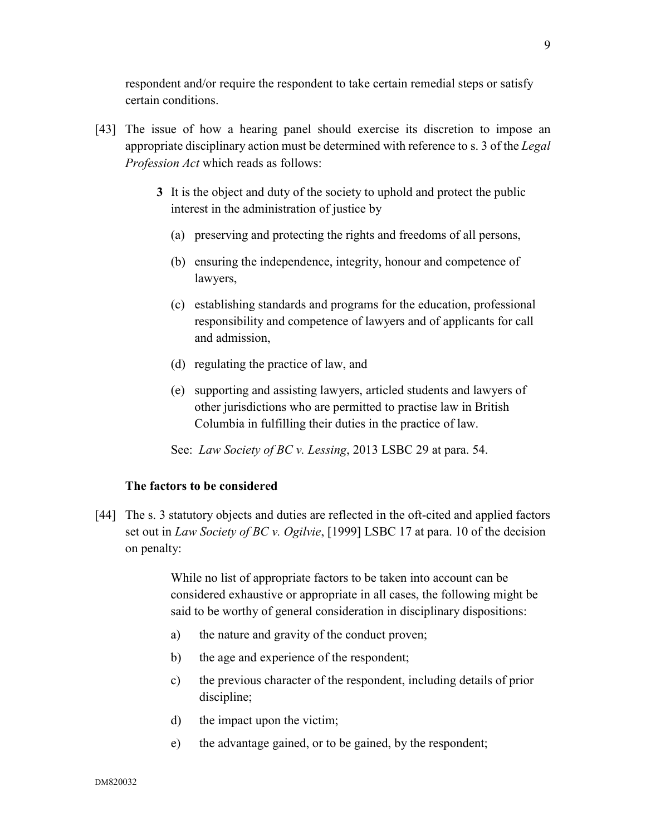respondent and/or require the respondent to take certain remedial steps or satisfy certain conditions.

- [43] The issue of how a hearing panel should exercise its discretion to impose an appropriate disciplinary action must be determined with reference to s. 3 of the *Legal Profession Act* which reads as follows:
	- **3** It is the object and duty of the society to uphold and protect the public interest in the administration of justice by
		- (a) preserving and protecting the rights and freedoms of all persons,
		- (b) ensuring the independence, integrity, honour and competence of lawyers,
		- (c) establishing standards and programs for the education, professional responsibility and competence of lawyers and of applicants for call and admission,
		- (d) regulating the practice of law, and
		- (e) supporting and assisting lawyers, articled students and lawyers of other jurisdictions who are permitted to practise law in British Columbia in fulfilling their duties in the practice of law.

See: *Law Society of BC v. Lessing*, 2013 LSBC 29 at para. 54.

### **The factors to be considered**

[44] The s. 3 statutory objects and duties are reflected in the oft-cited and applied factors set out in *Law Society of BC v. Ogilvie*, [1999] LSBC 17 at para. 10 of the decision on penalty:

> While no list of appropriate factors to be taken into account can be considered exhaustive or appropriate in all cases, the following might be said to be worthy of general consideration in disciplinary dispositions:

- a) the nature and gravity of the conduct proven;
- b) the age and experience of the respondent;
- c) the previous character of the respondent, including details of prior discipline;
- d) the impact upon the victim;
- e) the advantage gained, or to be gained, by the respondent;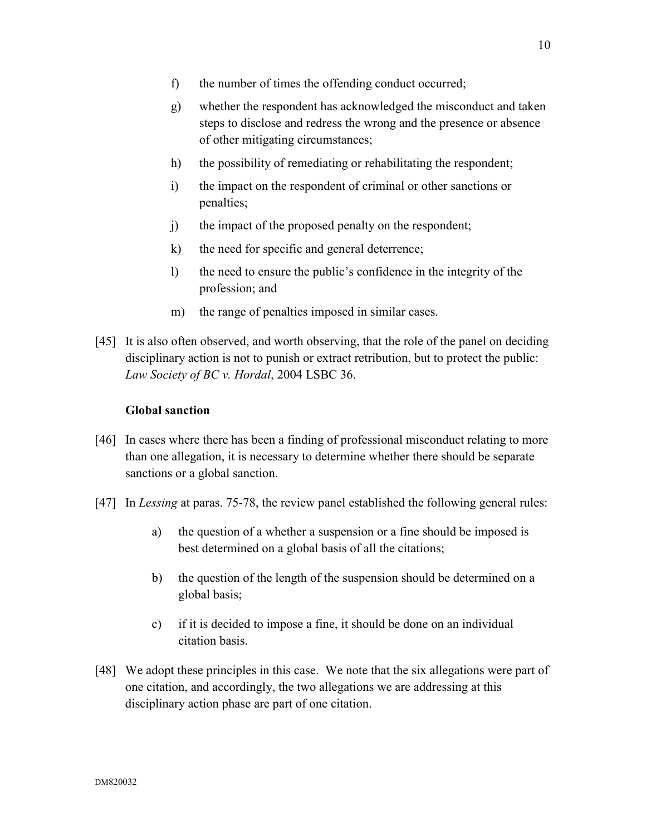- f) the number of times the offending conduct occurred;
- g) whether the respondent has acknowledged the misconduct and taken steps to disclose and redress the wrong and the presence or absence of other mitigating circumstances;
- h) the possibility of remediating or rehabilitating the respondent;
- i) the impact on the respondent of criminal or other sanctions or penalties;
- j) the impact of the proposed penalty on the respondent;
- k) the need for specific and general deterrence;
- l) the need to ensure the public's confidence in the integrity of the profession; and
- m) the range of penalties imposed in similar cases.
- [45] It is also often observed, and worth observing, that the role of the panel on deciding disciplinary action is not to punish or extract retribution, but to protect the public: *Law Society of BC v. Hordal*, 2004 LSBC 36.

#### **Global sanction**

- [46] In cases where there has been a finding of professional misconduct relating to more than one allegation, it is necessary to determine whether there should be separate sanctions or a global sanction.
- [47] In *Lessing* at paras. 75-78, the review panel established the following general rules:
	- a) the question of a whether a suspension or a fine should be imposed is best determined on a global basis of all the citations;
	- b) the question of the length of the suspension should be determined on a global basis;
	- c) if it is decided to impose a fine, it should be done on an individual citation basis.
- [48] We adopt these principles in this case. We note that the six allegations were part of one citation, and accordingly, the two allegations we are addressing at this disciplinary action phase are part of one citation.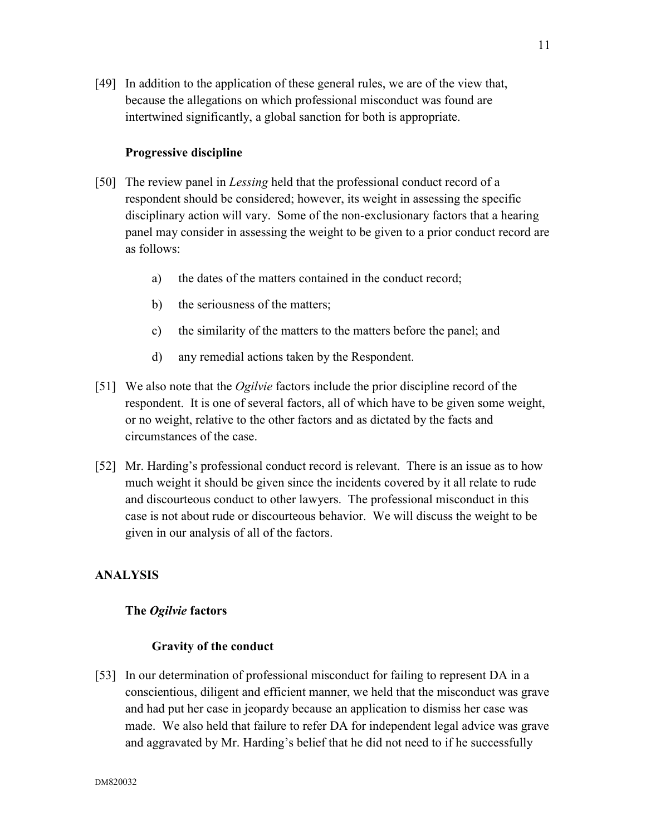[49] In addition to the application of these general rules, we are of the view that, because the allegations on which professional misconduct was found are intertwined significantly, a global sanction for both is appropriate.

### **Progressive discipline**

- [50] The review panel in *Lessing* held that the professional conduct record of a respondent should be considered; however, its weight in assessing the specific disciplinary action will vary. Some of the non-exclusionary factors that a hearing panel may consider in assessing the weight to be given to a prior conduct record are as follows:
	- a) the dates of the matters contained in the conduct record;
	- b) the seriousness of the matters;
	- c) the similarity of the matters to the matters before the panel; and
	- d) any remedial actions taken by the Respondent.
- [51] We also note that the *Ogilvie* factors include the prior discipline record of the respondent. It is one of several factors, all of which have to be given some weight, or no weight, relative to the other factors and as dictated by the facts and circumstances of the case.
- [52] Mr. Harding's professional conduct record is relevant. There is an issue as to how much weight it should be given since the incidents covered by it all relate to rude and discourteous conduct to other lawyers. The professional misconduct in this case is not about rude or discourteous behavior. We will discuss the weight to be given in our analysis of all of the factors.

# **ANALYSIS**

#### **The** *Ogilvie* **factors**

#### **Gravity of the conduct**

[53] In our determination of professional misconduct for failing to represent DA in a conscientious, diligent and efficient manner, we held that the misconduct was grave and had put her case in jeopardy because an application to dismiss her case was made. We also held that failure to refer DA for independent legal advice was grave and aggravated by Mr. Harding's belief that he did not need to if he successfully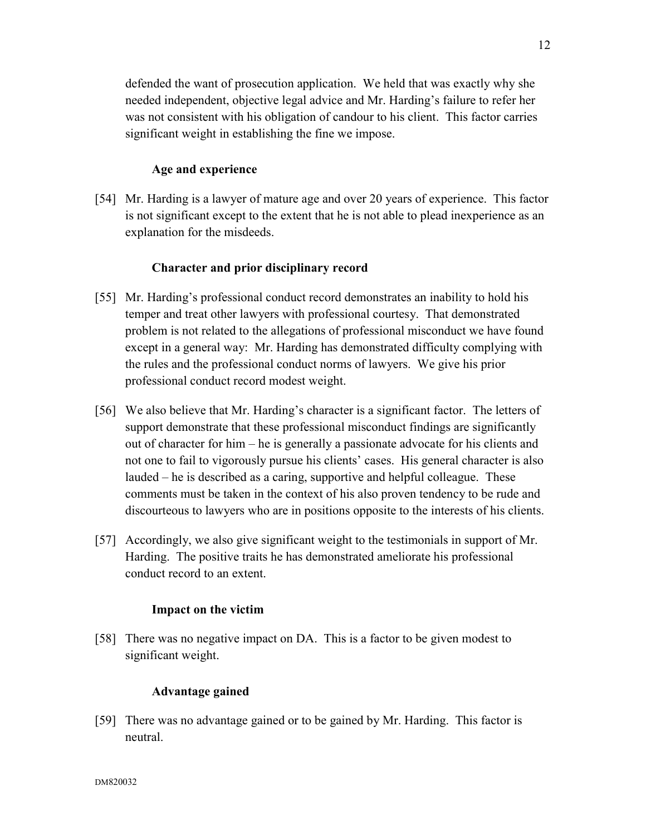defended the want of prosecution application. We held that was exactly why she needed independent, objective legal advice and Mr. Harding's failure to refer her was not consistent with his obligation of candour to his client. This factor carries significant weight in establishing the fine we impose.

# **Age and experience**

[54] Mr. Harding is a lawyer of mature age and over 20 years of experience. This factor is not significant except to the extent that he is not able to plead inexperience as an explanation for the misdeeds.

# **Character and prior disciplinary record**

- [55] Mr. Harding's professional conduct record demonstrates an inability to hold his temper and treat other lawyers with professional courtesy. That demonstrated problem is not related to the allegations of professional misconduct we have found except in a general way: Mr. Harding has demonstrated difficulty complying with the rules and the professional conduct norms of lawyers. We give his prior professional conduct record modest weight.
- [56] We also believe that Mr. Harding's character is a significant factor. The letters of support demonstrate that these professional misconduct findings are significantly out of character for him – he is generally a passionate advocate for his clients and not one to fail to vigorously pursue his clients' cases. His general character is also lauded – he is described as a caring, supportive and helpful colleague. These comments must be taken in the context of his also proven tendency to be rude and discourteous to lawyers who are in positions opposite to the interests of his clients.
- [57] Accordingly, we also give significant weight to the testimonials in support of Mr. Harding. The positive traits he has demonstrated ameliorate his professional conduct record to an extent.

### **Impact on the victim**

[58] There was no negative impact on DA. This is a factor to be given modest to significant weight.

### **Advantage gained**

[59] There was no advantage gained or to be gained by Mr. Harding. This factor is neutral.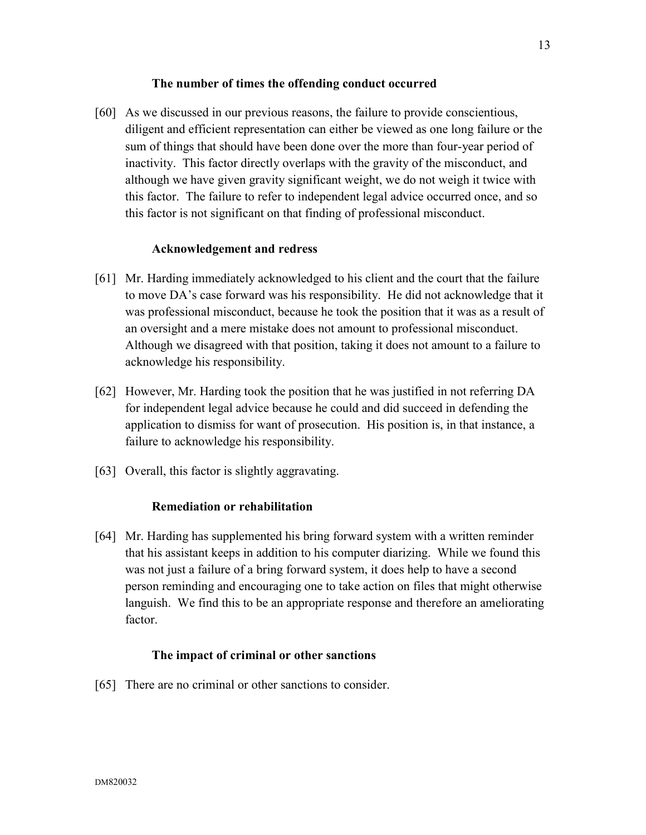### **The number of times the offending conduct occurred**

[60] As we discussed in our previous reasons, the failure to provide conscientious, diligent and efficient representation can either be viewed as one long failure or the sum of things that should have been done over the more than four-year period of inactivity. This factor directly overlaps with the gravity of the misconduct, and although we have given gravity significant weight, we do not weigh it twice with this factor. The failure to refer to independent legal advice occurred once, and so this factor is not significant on that finding of professional misconduct.

### **Acknowledgement and redress**

- [61] Mr. Harding immediately acknowledged to his client and the court that the failure to move DA's case forward was his responsibility. He did not acknowledge that it was professional misconduct, because he took the position that it was as a result of an oversight and a mere mistake does not amount to professional misconduct. Although we disagreed with that position, taking it does not amount to a failure to acknowledge his responsibility.
- [62] However, Mr. Harding took the position that he was justified in not referring DA for independent legal advice because he could and did succeed in defending the application to dismiss for want of prosecution. His position is, in that instance, a failure to acknowledge his responsibility.
- [63] Overall, this factor is slightly aggravating.

### **Remediation or rehabilitation**

[64] Mr. Harding has supplemented his bring forward system with a written reminder that his assistant keeps in addition to his computer diarizing. While we found this was not just a failure of a bring forward system, it does help to have a second person reminding and encouraging one to take action on files that might otherwise languish. We find this to be an appropriate response and therefore an ameliorating factor.

### **The impact of criminal or other sanctions**

[65] There are no criminal or other sanctions to consider.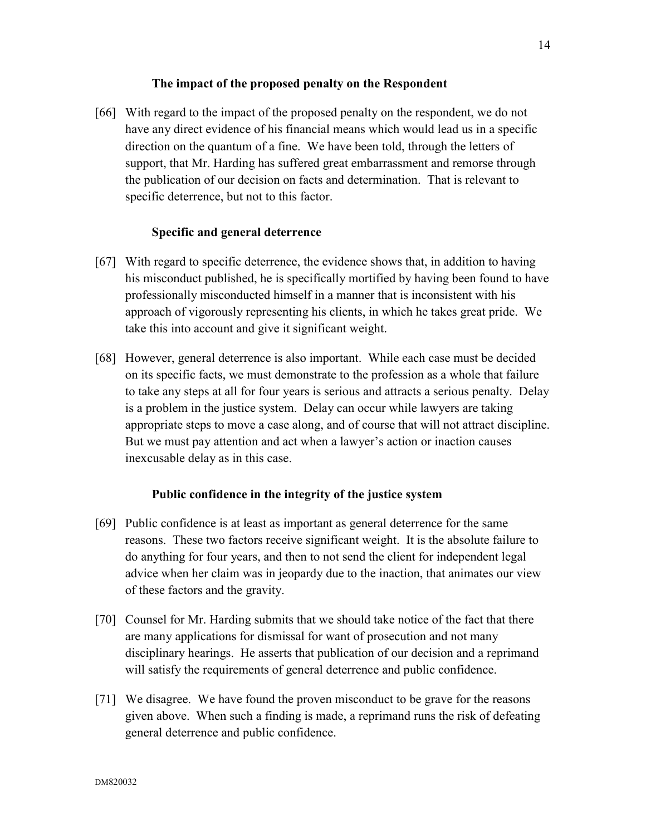### **The impact of the proposed penalty on the Respondent**

[66] With regard to the impact of the proposed penalty on the respondent, we do not have any direct evidence of his financial means which would lead us in a specific direction on the quantum of a fine. We have been told, through the letters of support, that Mr. Harding has suffered great embarrassment and remorse through the publication of our decision on facts and determination. That is relevant to specific deterrence, but not to this factor.

### **Specific and general deterrence**

- [67] With regard to specific deterrence, the evidence shows that, in addition to having his misconduct published, he is specifically mortified by having been found to have professionally misconducted himself in a manner that is inconsistent with his approach of vigorously representing his clients, in which he takes great pride. We take this into account and give it significant weight.
- [68] However, general deterrence is also important. While each case must be decided on its specific facts, we must demonstrate to the profession as a whole that failure to take any steps at all for four years is serious and attracts a serious penalty. Delay is a problem in the justice system. Delay can occur while lawyers are taking appropriate steps to move a case along, and of course that will not attract discipline. But we must pay attention and act when a lawyer's action or inaction causes inexcusable delay as in this case.

#### **Public confidence in the integrity of the justice system**

- [69] Public confidence is at least as important as general deterrence for the same reasons. These two factors receive significant weight. It is the absolute failure to do anything for four years, and then to not send the client for independent legal advice when her claim was in jeopardy due to the inaction, that animates our view of these factors and the gravity.
- [70] Counsel for Mr. Harding submits that we should take notice of the fact that there are many applications for dismissal for want of prosecution and not many disciplinary hearings. He asserts that publication of our decision and a reprimand will satisfy the requirements of general deterrence and public confidence.
- [71] We disagree. We have found the proven misconduct to be grave for the reasons given above. When such a finding is made, a reprimand runs the risk of defeating general deterrence and public confidence.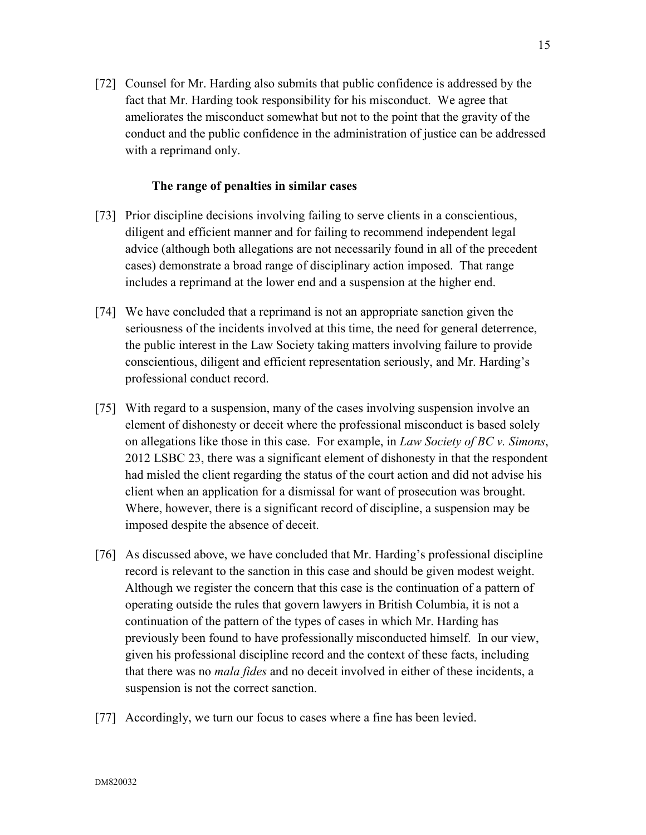[72] Counsel for Mr. Harding also submits that public confidence is addressed by the fact that Mr. Harding took responsibility for his misconduct. We agree that ameliorates the misconduct somewhat but not to the point that the gravity of the conduct and the public confidence in the administration of justice can be addressed with a reprimand only.

### **The range of penalties in similar cases**

- [73] Prior discipline decisions involving failing to serve clients in a conscientious, diligent and efficient manner and for failing to recommend independent legal advice (although both allegations are not necessarily found in all of the precedent cases) demonstrate a broad range of disciplinary action imposed. That range includes a reprimand at the lower end and a suspension at the higher end.
- [74] We have concluded that a reprimand is not an appropriate sanction given the seriousness of the incidents involved at this time, the need for general deterrence, the public interest in the Law Society taking matters involving failure to provide conscientious, diligent and efficient representation seriously, and Mr. Harding's professional conduct record.
- [75] With regard to a suspension, many of the cases involving suspension involve an element of dishonesty or deceit where the professional misconduct is based solely on allegations like those in this case. For example, in *Law Society of BC v. Simons*, 2012 LSBC 23, there was a significant element of dishonesty in that the respondent had misled the client regarding the status of the court action and did not advise his client when an application for a dismissal for want of prosecution was brought. Where, however, there is a significant record of discipline, a suspension may be imposed despite the absence of deceit.
- [76] As discussed above, we have concluded that Mr. Harding's professional discipline record is relevant to the sanction in this case and should be given modest weight. Although we register the concern that this case is the continuation of a pattern of operating outside the rules that govern lawyers in British Columbia, it is not a continuation of the pattern of the types of cases in which Mr. Harding has previously been found to have professionally misconducted himself. In our view, given his professional discipline record and the context of these facts, including that there was no *mala fides* and no deceit involved in either of these incidents, a suspension is not the correct sanction.
- [77] Accordingly, we turn our focus to cases where a fine has been levied.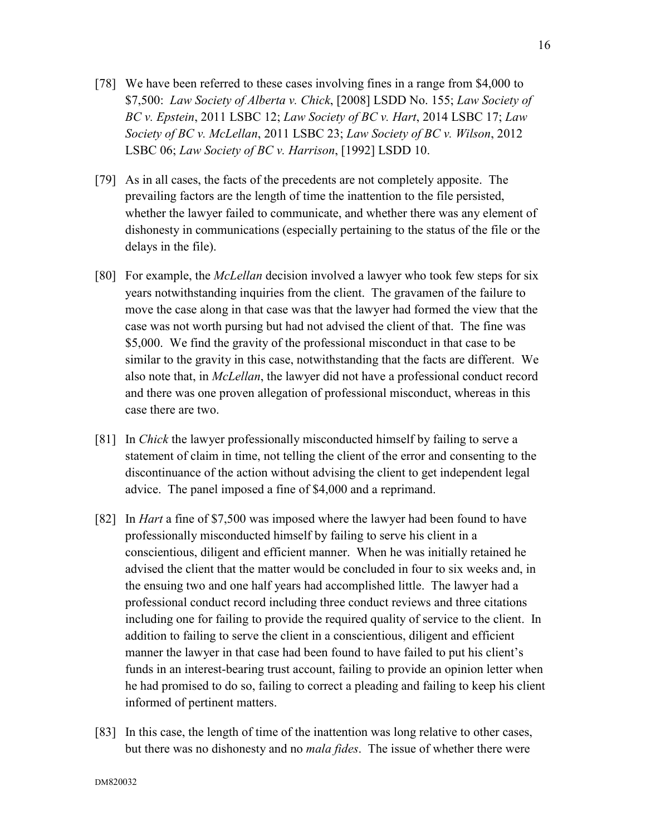- [78] We have been referred to these cases involving fines in a range from \$4,000 to \$7,500: *Law Society of Alberta v. Chick*, [2008] LSDD No. 155; *Law Society of BC v. Epstein*, 2011 LSBC 12; *Law Society of BC v. Hart*, 2014 LSBC 17; *Law Society of BC v. McLellan*, 2011 LSBC 23; *Law Society of BC v. Wilson*, 2012 LSBC 06; *Law Society of BC v. Harrison*, [1992] LSDD 10.
- [79] As in all cases, the facts of the precedents are not completely apposite. The prevailing factors are the length of time the inattention to the file persisted, whether the lawyer failed to communicate, and whether there was any element of dishonesty in communications (especially pertaining to the status of the file or the delays in the file).
- [80] For example, the *McLellan* decision involved a lawyer who took few steps for six years notwithstanding inquiries from the client. The gravamen of the failure to move the case along in that case was that the lawyer had formed the view that the case was not worth pursing but had not advised the client of that. The fine was \$5,000. We find the gravity of the professional misconduct in that case to be similar to the gravity in this case, notwithstanding that the facts are different. We also note that, in *McLellan*, the lawyer did not have a professional conduct record and there was one proven allegation of professional misconduct, whereas in this case there are two.
- [81] In *Chick* the lawyer professionally misconducted himself by failing to serve a statement of claim in time, not telling the client of the error and consenting to the discontinuance of the action without advising the client to get independent legal advice. The panel imposed a fine of \$4,000 and a reprimand.
- [82] In *Hart* a fine of \$7,500 was imposed where the lawyer had been found to have professionally misconducted himself by failing to serve his client in a conscientious, diligent and efficient manner. When he was initially retained he advised the client that the matter would be concluded in four to six weeks and, in the ensuing two and one half years had accomplished little. The lawyer had a professional conduct record including three conduct reviews and three citations including one for failing to provide the required quality of service to the client. In addition to failing to serve the client in a conscientious, diligent and efficient manner the lawyer in that case had been found to have failed to put his client's funds in an interest-bearing trust account, failing to provide an opinion letter when he had promised to do so, failing to correct a pleading and failing to keep his client informed of pertinent matters.
- [83] In this case, the length of time of the inattention was long relative to other cases, but there was no dishonesty and no *mala fides*. The issue of whether there were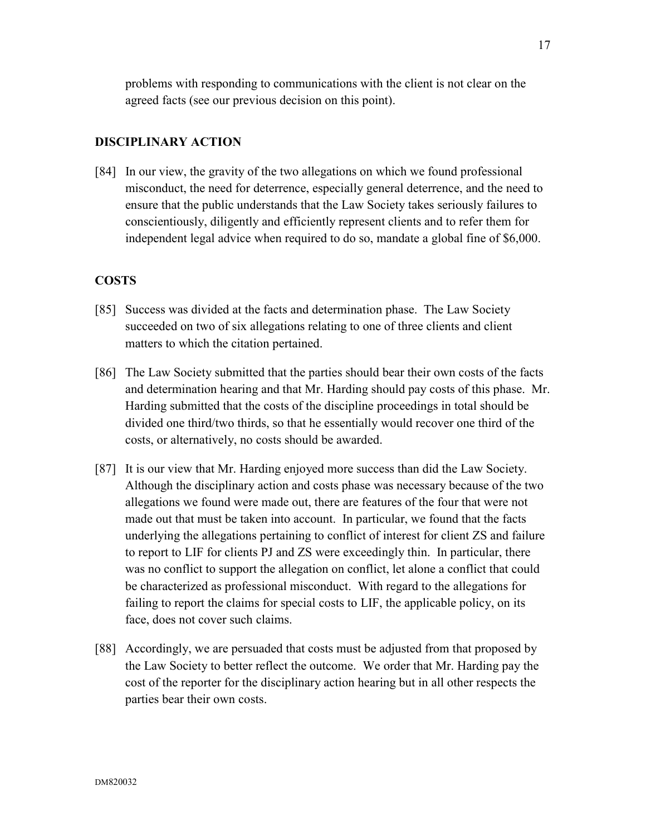problems with responding to communications with the client is not clear on the agreed facts (see our previous decision on this point).

## **DISCIPLINARY ACTION**

[84] In our view, the gravity of the two allegations on which we found professional misconduct, the need for deterrence, especially general deterrence, and the need to ensure that the public understands that the Law Society takes seriously failures to conscientiously, diligently and efficiently represent clients and to refer them for independent legal advice when required to do so, mandate a global fine of \$6,000.

# **COSTS**

- [85] Success was divided at the facts and determination phase. The Law Society succeeded on two of six allegations relating to one of three clients and client matters to which the citation pertained.
- [86] The Law Society submitted that the parties should bear their own costs of the facts and determination hearing and that Mr. Harding should pay costs of this phase. Mr. Harding submitted that the costs of the discipline proceedings in total should be divided one third/two thirds, so that he essentially would recover one third of the costs, or alternatively, no costs should be awarded.
- [87] It is our view that Mr. Harding enjoyed more success than did the Law Society. Although the disciplinary action and costs phase was necessary because of the two allegations we found were made out, there are features of the four that were not made out that must be taken into account. In particular, we found that the facts underlying the allegations pertaining to conflict of interest for client ZS and failure to report to LIF for clients PJ and ZS were exceedingly thin. In particular, there was no conflict to support the allegation on conflict, let alone a conflict that could be characterized as professional misconduct. With regard to the allegations for failing to report the claims for special costs to LIF, the applicable policy, on its face, does not cover such claims.
- [88] Accordingly, we are persuaded that costs must be adjusted from that proposed by the Law Society to better reflect the outcome. We order that Mr. Harding pay the cost of the reporter for the disciplinary action hearing but in all other respects the parties bear their own costs.